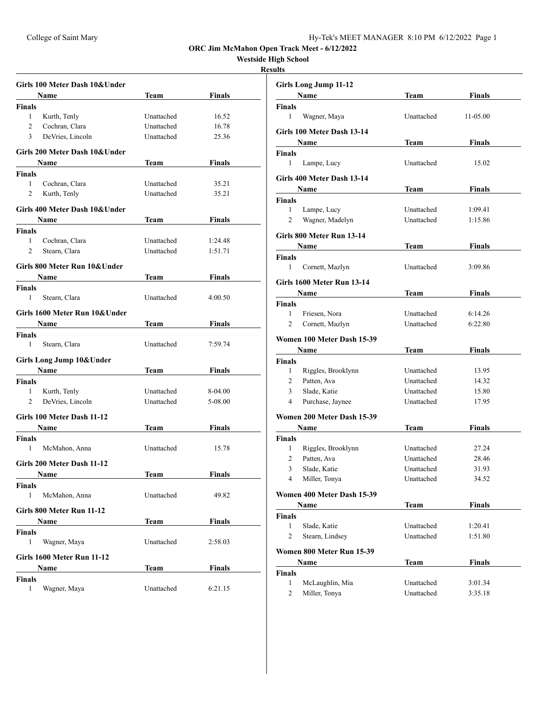**Westside High School**

|                | Girls 100 Meter Dash 10&Under |             |               |  |  |
|----------------|-------------------------------|-------------|---------------|--|--|
|                | Name                          | Team        | Finals        |  |  |
| Finals         |                               |             |               |  |  |
| $\mathbf{1}$   | Kurth, Tenly                  | Unattached  | 16.52         |  |  |
| $\overline{2}$ | Cochran, Clara                | Unattached  | 16.78         |  |  |
| 3              | DeVries, Lincoln              | Unattached  | 25.36         |  |  |
|                | Girls 200 Meter Dash 10&Under |             |               |  |  |
|                | <b>Name</b>                   | Team        | Finals        |  |  |
| Finals         |                               |             |               |  |  |
| $\mathbf{1}$   | Cochran, Clara                | Unattached  | 35.21         |  |  |
| 2              | Kurth, Tenly                  | Unattached  | 35.21         |  |  |
|                | Girls 400 Meter Dash 10&Under |             |               |  |  |
|                | <b>Name</b>                   | Team        | Finals        |  |  |
| Finals         |                               |             |               |  |  |
| 1              | Cochran, Clara                | Unattached  | 1:24.48       |  |  |
| 2              | Stearn, Clara                 | Unattached  | 1:51.71       |  |  |
|                | Girls 800 Meter Run 10&Under  |             |               |  |  |
|                | Name                          | Team        | Finals        |  |  |
| Finals         |                               |             |               |  |  |
| 1              | Stearn, Clara                 | Unattached  | 4:00.50       |  |  |
|                | Girls 1600 Meter Run 10&Under |             |               |  |  |
|                | <b>Name</b>                   | Team        | Finals        |  |  |
| Finals         |                               |             |               |  |  |
| 1              | Stearn, Clara                 | Unattached  | 7:59.74       |  |  |
|                | Girls Long Jump 10& Under     |             |               |  |  |
|                | <b>Name</b>                   | Team        | Finals        |  |  |
| Finals         |                               |             |               |  |  |
| 1              | Kurth, Tenly                  | Unattached  | 8-04.00       |  |  |
| 2              | DeVries, Lincoln              | Unattached  | 5-08.00       |  |  |
|                | Girls 100 Meter Dash 11-12    |             |               |  |  |
|                | Name                          | Team        | Finals        |  |  |
| Finals         |                               |             |               |  |  |
| 1              | McMahon, Anna                 | Unattached  | 15.78         |  |  |
|                | Girls 200 Meter Dash 11-12    |             |               |  |  |
|                | <b>Name</b>                   | <b>Team</b> | <b>Finals</b> |  |  |
| <b>Finals</b>  |                               |             |               |  |  |
| $\mathbf{1}$   | McMahon, Anna                 | Unattached  | 49.82         |  |  |
|                | Girls 800 Meter Run 11-12     |             |               |  |  |
|                | Name                          | Team        | <b>Finals</b> |  |  |
| <b>Finals</b>  |                               |             |               |  |  |
| 1              | Wagner, Maya                  | Unattached  | 2:58.03       |  |  |
|                | Girls 1600 Meter Run 11-12    |             |               |  |  |
|                | Name<br>Team<br><b>Finals</b> |             |               |  |  |
| Finals         |                               |             |               |  |  |
| 1              | Wagner, Maya                  | Unattached  | 6:21.15       |  |  |

| uus                |                                   |                          |                |
|--------------------|-----------------------------------|--------------------------|----------------|
|                    | <b>Girls Long Jump 11-12</b>      |                          |                |
|                    | Name                              | <b>Team</b>              | <b>Finals</b>  |
| <b>Finals</b>      |                                   |                          |                |
| 1                  | Wagner, Maya                      | Unattached               | 11-05.00       |
|                    | Girls 100 Meter Dash 13-14        |                          |                |
|                    | Name                              | Team                     | Finals         |
| <b>Finals</b>      |                                   |                          |                |
| 1                  | Lampe, Lucy                       | Unattached               | 15.02          |
|                    | Girls 400 Meter Dash 13-14        |                          |                |
|                    | Name                              | <b>Team</b>              | <b>Finals</b>  |
| Finals             |                                   |                          |                |
| 1                  | Lampe, Lucy                       | Unattached               | 1:09.41        |
| $\overline{c}$     | Wagner, Madelyn                   | Unattached               | 1:15.86        |
|                    | Girls 800 Meter Run 13-14         |                          |                |
|                    | Name                              | Team                     | <b>Finals</b>  |
| <b>Finals</b>      |                                   |                          |                |
| 1                  | Cornett, Mazlyn                   | Unattached               | 3:09.86        |
|                    | Girls 1600 Meter Run 13-14        |                          |                |
|                    | Name                              | Team                     | <b>Finals</b>  |
| Finals             |                                   |                          |                |
| $\mathbf{1}$       | Friesen, Nora                     | Unattached               | 6:14.26        |
| 2                  | Cornett, Mazlyn                   | Unattached               | 6:22.80        |
|                    |                                   |                          |                |
|                    | Women 100 Meter Dash 15-39        |                          |                |
|                    | Name                              | <b>Team</b>              | <b>Finals</b>  |
| <b>Finals</b><br>1 |                                   | Unattached               |                |
| $\mathbf{2}$       | Riggles, Brooklynn<br>Patten, Ava | Unattached               | 13.95<br>14.32 |
| 3                  | Slade, Katie                      | Unattached               | 15.80          |
| 4                  | Purchase, Jaynee                  | Unattached               | 17.95          |
|                    |                                   |                          |                |
|                    | Women 200 Meter Dash 15-39        |                          |                |
|                    | Name                              | Team                     | <b>Finals</b>  |
| <b>Finals</b>      |                                   |                          |                |
| 1<br>2             | Riggles, Brooklynn<br>Patten, Ava | Unattached<br>Unattached | 27.24<br>28.46 |
| $\mathcal{Z}$      | Slade, Katie                      | Unattached               | 31.93          |
| 4                  | Miller, Tonya                     | Unattached               | 34.52          |
|                    |                                   |                          |                |
|                    | Women 400 Meter Dash 15-39        |                          |                |
|                    |                                   |                          |                |
|                    | Name                              | <b>Team</b>              | <b>Finals</b>  |
| Finals             |                                   |                          |                |
| 1                  | Slade, Katie                      | Unattached               | 1:20.41        |
| 2                  | Stearn, Lindsey                   | Unattached               | 1:51.80        |
|                    | Women 800 Meter Run 15-39         |                          |                |
|                    | Name                              | <b>Team</b>              | <b>Finals</b>  |
| <b>Finals</b>      |                                   |                          |                |
| 1                  | McLaughlin, Mia                   | Unattached               | 3:01.34        |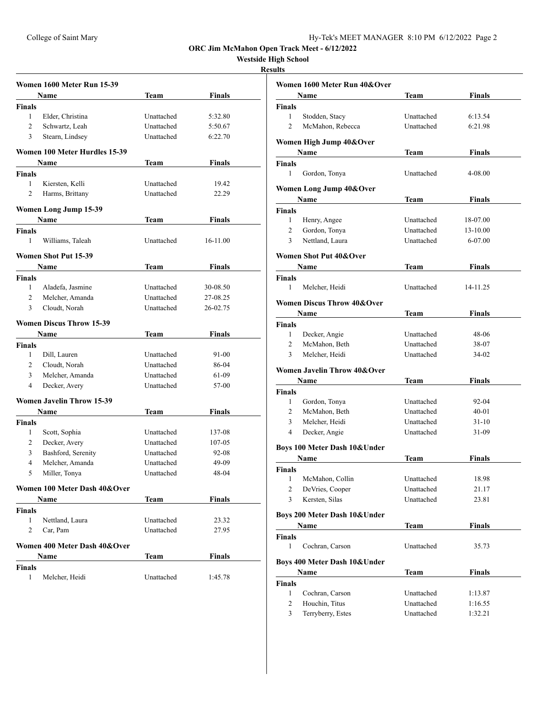**Westside High School**

|                | Women 1600 Meter Run 15-39       |            |          |
|----------------|----------------------------------|------------|----------|
|                | Name                             | Team       | Finals   |
| Finals         |                                  |            |          |
| 1              | Elder, Christina                 | Unattached | 5:32.80  |
| $\overline{c}$ | Schwartz, Leah                   | Unattached | 5:50.67  |
| 3              | Stearn, Lindsey                  | Unattached | 6:22.70  |
|                | Women 100 Meter Hurdles 15-39    |            |          |
|                | Name                             | Team       | Finals   |
| Finals         |                                  |            |          |
| 1              | Kiersten, Kelli                  | Unattached | 19.42    |
| $\overline{2}$ | Harms, Brittany                  | Unattached | 22.29    |
|                | Women Long Jump 15-39            |            |          |
|                | Name                             | Team       | Finals   |
| Finals         |                                  |            |          |
| 1              | Williams, Taleah                 | Unattached | 16-11.00 |
|                | <b>Women Shot Put 15-39</b>      |            |          |
|                | Name                             | Team       | Finals   |
| Finals         |                                  |            |          |
| 1              | Aladefa, Jasmine                 | Unattached | 30-08.50 |
| 2              | Melcher, Amanda                  | Unattached | 27-08.25 |
| 3              | Cloudt, Norah                    | Unattached | 26-02.75 |
|                | <b>Women Discus Throw 15-39</b>  |            |          |
|                | Name                             | Team       | Finals   |
| Finals         |                                  |            |          |
| 1              | Dill, Lauren                     | Unattached | 91-00    |
| $\overline{2}$ | Cloudt, Norah                    | Unattached | 86-04    |
| 3              | Melcher, Amanda                  | Unattached | 61-09    |
| 4              | Decker, Avery                    | Unattached | 57-00    |
|                | <b>Women Javelin Throw 15-39</b> |            |          |
|                | Name                             | Team       | Finals   |
| Finals         |                                  |            |          |
| 1              | Scott, Sophia                    | Unattached | 137-08   |
| 2              | Decker, Avery                    | Unattached | 107-05   |
| 3              | Bashford, Serenity               | Unattached | 92-08    |
| 4              | Melcher, Amanda                  | Unattached | 49-09    |
| 5              | Miller, Tonya                    | Unattached | 48-04    |
|                | Women 100 Meter Dash 40&Over     |            |          |
|                | Name                             | Team       | Finals   |
| <b>Finals</b>  |                                  |            |          |
| 1              | Nettland, Laura                  | Unattached | 23.32    |
| 2              | Car, Pam                         | Unattached | 27.95    |
|                | Women 400 Meter Dash 40&Over     |            |          |
|                | Name                             | Team       | Finals   |
| Finals         |                                  |            |          |
| 1              | Melcher, Heidi                   | Unattached | 1:45.78  |

|                     | Women 1600 Meter Run 40&Over          |                          |                |  |
|---------------------|---------------------------------------|--------------------------|----------------|--|
|                     | Name                                  | Team                     | Finals         |  |
| <b>Finals</b>       |                                       |                          |                |  |
| 1                   | Stodden, Stacy                        | Unattached               | 6:13.54        |  |
| $\overline{2}$      | McMahon, Rebecca                      | <b>Unattached</b>        | 6:21.98        |  |
|                     |                                       |                          |                |  |
|                     | Women High Jump 40&Over               |                          |                |  |
|                     | Name                                  | Team                     | Finals         |  |
| <b>Finals</b>       |                                       |                          |                |  |
| 1                   | Gordon, Tonya                         | Unattached               | 4-08.00        |  |
|                     | Women Long Jump 40&Over               |                          |                |  |
|                     | Name                                  | Team                     | Finals         |  |
| <b>Finals</b>       |                                       |                          |                |  |
| 1                   | Henry, Angee                          | Unattached               | 18-07.00       |  |
| $\overline{2}$      | Gordon, Tonya                         | Unattached               | 13-10.00       |  |
| 3                   | Nettland, Laura                       | Unattached               | 6-07.00        |  |
|                     | <b>Women Shot Put 40&amp;Over</b>     |                          |                |  |
|                     | Name                                  |                          | Finals         |  |
| <b>Finals</b>       |                                       | Team                     |                |  |
| 1                   | Melcher, Heidi                        | Unattached               | 14-11.25       |  |
|                     |                                       |                          |                |  |
|                     | <b>Women Discus Throw 40&amp;Over</b> |                          |                |  |
|                     | Name                                  | <b>Team</b>              | Finals         |  |
| <b>Finals</b>       |                                       |                          |                |  |
| $\mathbf{1}$        | Decker, Angie                         | Unattached               | 48-06          |  |
| $\overline{2}$      | McMahon, Beth                         | Unattached               | 38-07          |  |
| 3                   | Melcher, Heidi                        | Unattached               | 34-02          |  |
|                     | Women Javelin Throw 40&Over           |                          |                |  |
|                     | Name                                  | Team                     | Finals         |  |
| Finals              |                                       |                          |                |  |
| 1                   | Gordon, Tonya                         | Unattached               | 92-04          |  |
| $\overline{2}$      | McMahon, Beth                         | Unattached               | $40 - 01$      |  |
| 3                   | Melcher, Heidi                        | Unattached               | $31 - 10$      |  |
| 4                   | Decker, Angie                         | Unattached               | 31-09          |  |
|                     |                                       |                          |                |  |
|                     | Boys 100 Meter Dash 10& Under         |                          |                |  |
|                     | Name                                  | Team                     | Finals         |  |
| Finals              |                                       |                          |                |  |
| 1<br>$\overline{2}$ | McMahon, Collin<br>DeVries, Cooper    | Unattached               | 18.98          |  |
| 3                   | Kersten, Silas                        | Unattached<br>Unattached | 21.17<br>23.81 |  |
|                     |                                       |                          |                |  |
|                     | Boys 200 Meter Dash 10& Under         |                          |                |  |
|                     | Name                                  | Team                     | <b>Finals</b>  |  |
| <b>Finals</b>       |                                       |                          |                |  |
| 1                   | Cochran, Carson                       | Unattached               | 35.73          |  |
|                     | Boys 400 Meter Dash 10&Under          |                          |                |  |
|                     | Name                                  | <b>Team</b>              | <b>Finals</b>  |  |
| <b>Finals</b>       |                                       |                          |                |  |
| 1                   | Cochran, Carson                       | Unattached               | 1:13.87        |  |
| $\overline{2}$      | Houchin, Titus                        | Unattached               | 1:16.55        |  |
| 3                   | Terryberry, Estes                     | Unattached               | 1:32.21        |  |
|                     |                                       |                          |                |  |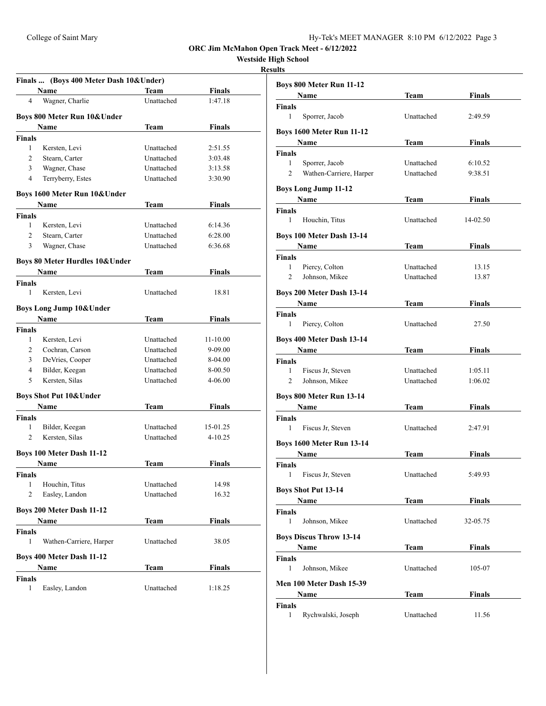# **Westside High School**

|                | Finals  (Boys 400 Meter Dash 10& Under) |             |               |  |
|----------------|-----------------------------------------|-------------|---------------|--|
|                | Name                                    | Team        | <b>Finals</b> |  |
| 4              | Wagner, Charlie                         | Unattached  | 1:47.18       |  |
|                | Boys 800 Meter Run 10& Under            |             |               |  |
|                | Name                                    | Team        | Finals        |  |
| <b>Finals</b>  |                                         |             |               |  |
| 1              | Kersten, Levi                           | Unattached  | 2:51.55       |  |
| $\overline{2}$ | Stearn, Carter                          | Unattached  | 3:03.48       |  |
| 3              | Wagner, Chase                           | Unattached  | 3:13.58       |  |
| 4              | Terryberry, Estes                       | Unattached  | 3:30.90       |  |
|                | Boys 1600 Meter Run 10& Under           |             |               |  |
|                | Name                                    | Team        | Finals        |  |
| Finals         |                                         |             |               |  |
| 1              | Kersten, Levi                           | Unattached  | 6:14.36       |  |
| 2              | Stearn, Carter                          | Unattached  | 6:28.00       |  |
| 3              | Wagner, Chase                           | Unattached  | 6:36.68       |  |
|                | Boys 80 Meter Hurdles 10& Under         |             |               |  |
|                | Name                                    | Team        | <b>Finals</b> |  |
| <b>Finals</b>  |                                         |             |               |  |
| $\mathbf{1}$   | Kersten, Levi                           | Unattached  | 18.81         |  |
|                | <b>Boys Long Jump 10&amp; Under</b>     |             |               |  |
|                | Name                                    | <b>Team</b> | Finals        |  |
| <b>Finals</b>  |                                         |             |               |  |
| 1              | Kersten, Levi                           | Unattached  | 11-10.00      |  |
| 2              | Cochran, Carson                         | Unattached  | 9-09.00       |  |
| 3              | DeVries, Cooper                         | Unattached  | 8-04.00       |  |
| 4              | Bilder, Keegan                          | Unattached  | 8-00.50       |  |
| 5              | Kersten, Silas                          | Unattached  | 4-06.00       |  |
|                | <b>Boys Shot Put 10&amp; Under</b>      |             |               |  |
|                | Name                                    | Team        | <b>Finals</b> |  |
| <b>Finals</b>  |                                         |             |               |  |
| 1              | Bilder, Keegan                          | Unattached  | 15-01.25      |  |
| 2              | Kersten, Silas                          | Unattached  | $4 - 10.25$   |  |
|                |                                         |             |               |  |
|                | Boys 100 Meter Dash 11-12               |             |               |  |
|                | Name                                    | Team        | <b>Finals</b> |  |
| Finals         |                                         |             |               |  |
| 1              | Houchin, Titus                          | Unattached  | 14.98         |  |
| 2              | Easley, Landon                          | Unattached  | 16.32         |  |
|                | Boys 200 Meter Dash 11-12               |             |               |  |
|                | Name                                    | Team        | <b>Finals</b> |  |
| Finals         |                                         |             |               |  |
| 1              | Wathen-Carriere, Harper                 | Unattached  | 38.05         |  |
|                | <b>Boys 400 Meter Dash 11-12</b>        |             |               |  |
|                | Name                                    | Team        | <b>Finals</b> |  |
| <b>Finals</b>  |                                         |             |               |  |
| 1              | Easley, Landon                          | Unattached  | 1:18.25       |  |

| Boys 800 Meter Run 11-12         |             |               |  |
|----------------------------------|-------------|---------------|--|
| Name                             | Team        | Finals        |  |
| Finals                           |             |               |  |
| 1<br>Sporrer, Jacob              | Unattached  | 2:49.59       |  |
| <b>Boys 1600 Meter Run 11-12</b> |             |               |  |
| Name                             | <b>Team</b> | <b>Finals</b> |  |
| <b>Finals</b>                    |             |               |  |
| 1<br>Sporrer, Jacob              | Unattached  | 6:10.52       |  |
| 2<br>Wathen-Carriere, Harper     | Unattached  | 9:38.51       |  |
| <b>Boys Long Jump 11-12</b>      |             |               |  |
| <b>Name</b>                      | Team        | <b>Finals</b> |  |
| <b>Finals</b>                    |             |               |  |
| 1<br>Houchin, Titus              | Unattached  | 14-02.50      |  |
| Boys 100 Meter Dash 13-14        |             |               |  |
| Name                             | Team        | Finals        |  |
| <b>Finals</b>                    |             |               |  |
| 1<br>Piercy, Colton              | Unattached  | 13.15         |  |
| 2<br>Johnson, Mikee              | Unattached  | 13.87         |  |
| Boys 200 Meter Dash 13-14        |             |               |  |
| Name                             | Team        | Finals        |  |
| <b>Finals</b>                    |             |               |  |
| 1<br>Piercy, Colton              | Unattached  | 27.50         |  |
| Boys 400 Meter Dash 13-14        |             |               |  |
| Name                             | Team        | <b>Finals</b> |  |
| <b>Finals</b>                    |             |               |  |
| 1<br>Fiscus Jr, Steven           | Unattached  | 1:05.11       |  |
| $\overline{2}$<br>Johnson, Mikee | Unattached  | 1:06.02       |  |
| Boys 800 Meter Run 13-14         |             |               |  |
| Name                             | <b>Team</b> | <b>Finals</b> |  |
| <b>Finals</b>                    |             |               |  |
| 1<br>Fiscus Jr, Steven           | Unattached  | 2:47.91       |  |
| <b>Boys 1600 Meter Run 13-14</b> |             |               |  |
| Name                             | Team        | Finals        |  |
| Finals                           |             |               |  |
| 1 Fiscus Jr, Steven              | Unattached  | 5:49.93       |  |
| <b>Boys Shot Put 13-14</b>       |             |               |  |
| Name                             | Team        | <b>Finals</b> |  |
| <b>Finals</b>                    |             |               |  |
| $\mathbf{1}$<br>Johnson, Mikee   | Unattached  | 32-05.75      |  |
| <b>Boys Discus Throw 13-14</b>   |             |               |  |
| Name                             | Team        | <b>Finals</b> |  |
| <b>Finals</b>                    |             |               |  |
| 1<br>Johnson, Mikee              | Unattached  | 105-07        |  |
|                                  |             |               |  |
| Men 100 Meter Dash 15-39         |             |               |  |
| Name<br><b>Finals</b>            | <b>Team</b> | <b>Finals</b> |  |
| Rychwalski, Joseph<br>1          | Unattached  | 11.56         |  |
|                                  |             |               |  |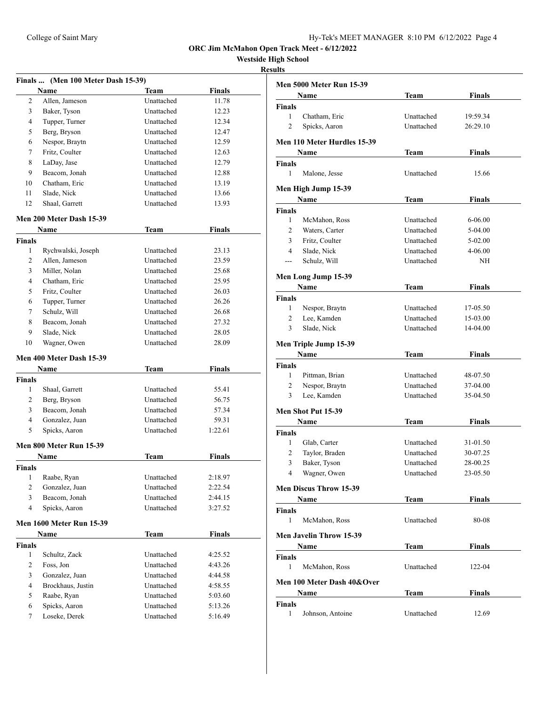**Westside High School**

|                    | Finals  (Men 100 Meter Dash 15-39) |             |               |
|--------------------|------------------------------------|-------------|---------------|
|                    | Name                               | <b>Team</b> | <b>Finals</b> |
| 2                  | Allen, Jameson                     | Unattached  | 11.78         |
| 3                  | Baker, Tyson                       | Unattached  | 12.23         |
| 4                  | Tupper, Turner                     | Unattached  | 12.34         |
| 5                  | Berg, Bryson                       | Unattached  | 12.47         |
| 6                  | Nespor, Braytn                     | Unattached  | 12.59         |
| 7                  | Fritz, Coulter                     | Unattached  | 12.63         |
| 8                  | LaDay, Jase                        | Unattached  | 12.79         |
| 9                  | Beacom. Jonah                      | Unattached  | 12.88         |
| 10                 | Chatham, Eric                      | Unattached  | 13.19         |
| 11                 | Slade, Nick                        | Unattached  | 13.66         |
| 12                 | Shaal, Garrett                     | Unattached  | 13.93         |
|                    |                                    |             |               |
|                    | Men 200 Meter Dash 15-39           |             |               |
|                    | Name                               | <b>Team</b> | <b>Finals</b> |
| <b>Finals</b>      |                                    |             |               |
| 1                  | Rychwalski, Joseph                 | Unattached  | 23.13         |
| 2                  | Allen, Jameson                     | Unattached  | 23.59         |
| 3                  | Miller, Nolan                      | Unattached  | 25.68         |
| 4                  | Chatham, Eric                      | Unattached  | 25.95         |
| 5                  | Fritz, Coulter                     | Unattached  | 26.03         |
| 6                  | Tupper, Turner                     | Unattached  | 26.26         |
| 7                  | Schulz, Will                       | Unattached  | 26.68         |
| 8                  | Beacom, Jonah                      | Unattached  | 27.32         |
| 9                  | Slade, Nick                        | Unattached  | 28.05         |
| 10                 | Wagner, Owen                       | Unattached  | 28.09         |
|                    | Men 400 Meter Dash 15-39<br>Name   | <b>Team</b> | <b>Finals</b> |
|                    |                                    |             |               |
| <b>Finals</b><br>1 | Shaal, Garrett                     | Unattached  | 55.41         |
| 2                  |                                    | Unattached  |               |
| 3                  | Berg, Bryson<br>Beacom, Jonah      | Unattached  | 56.75         |
| $\overline{4}$     |                                    | Unattached  | 57.34         |
|                    | Gonzalez, Juan                     |             | 59.31         |
| 5                  | Spicks, Aaron                      | Unattached  | 1:22.61       |
|                    | Men 800 Meter Run 15-39            |             |               |
|                    | Name                               | Team        | Finals        |
| <b>Finals</b>      |                                    |             |               |
|                    | 1 Raabe, Ryan                      | Unattached  | 2:18.97       |
| 2                  | Gonzalez, Juan                     | Unattached  | 2:22.54       |
| 3                  | Beacom, Jonah                      | Unattached  | 2:44.15       |
| 4                  | Spicks, Aaron                      | Unattached  | 3:27.52       |
|                    | <b>Men 1600 Meter Run 15-39</b>    |             |               |
|                    | Name                               | <b>Team</b> | <b>Finals</b> |
| <b>Finals</b>      |                                    |             |               |
| 1                  | Schultz, Zack                      | Unattached  | 4:25.52       |
| 2                  | Foss, Jon                          | Unattached  | 4:43.26       |
| 3                  | Gonzalez, Juan                     | Unattached  | 4:44.58       |
| 4                  | Brockhaus, Justin                  | Unattached  | 4:58.55       |
| 5                  | Raabe, Ryan                        | Unattached  | 5:03.60       |
| 6                  | Spicks, Aaron                      | Unattached  | 5:13.26       |
| 7                  | Loseke, Derek                      | Unattached  | 5:16.49       |
|                    |                                    |             |               |

|                        | <b>Men 5000 Meter Run 15-39</b> |                          |               |  |
|------------------------|---------------------------------|--------------------------|---------------|--|
|                        | Name                            | Team                     | <b>Finals</b> |  |
| <b>Finals</b>          |                                 |                          |               |  |
| 1                      | Chatham, Eric                   | Unattached               | 19:59.34      |  |
| $\overline{c}$         | Spicks, Aaron                   | Unattached               | 26:29.10      |  |
|                        | Men 110 Meter Hurdles 15-39     |                          |               |  |
|                        | Name                            | Team                     | Finals        |  |
| <b>Finals</b>          |                                 |                          |               |  |
| 1                      | Malone, Jesse                   | Unattached               | 15.66         |  |
|                        |                                 |                          |               |  |
|                        | Men High Jump 15-39             |                          |               |  |
|                        | Name                            | Team                     | Finals        |  |
| <b>Finals</b>          |                                 |                          |               |  |
| 1                      | McMahon, Ross                   | Unattached               | 6-06.00       |  |
| 2                      | Waters, Carter                  | Unattached               | 5-04.00       |  |
| 3                      | Fritz, Coulter                  | Unattached               | 5-02.00       |  |
| 4                      | Slade, Nick                     | Unattached               | 4-06.00       |  |
| ---                    | Schulz, Will                    | Unattached               | NH            |  |
|                        | Men Long Jump 15-39             |                          |               |  |
|                        | Name                            | Team                     | Finals        |  |
| <b>Finals</b>          |                                 |                          |               |  |
| 1                      | Nespor, Braytn                  | Unattached               | 17-05.50      |  |
| $\overline{c}$         | Lee, Kamden                     | Unattached               | 15-03.00      |  |
| 3                      | Slade, Nick                     | Unattached               | 14-04.00      |  |
|                        |                                 |                          |               |  |
|                        | Men Triple Jump 15-39           |                          |               |  |
|                        | Name                            | Team                     | <b>Finals</b> |  |
| <b>Finals</b><br>1     |                                 |                          |               |  |
| 2                      | Pittman, Brian                  | Unattached<br>Unattached | 48-07.50      |  |
| 3                      | Nespor, Braytn                  | Unattached               | 37-04.00      |  |
|                        | Lee, Kamden                     |                          | 35-04.50      |  |
|                        | Men Shot Put 15-39              |                          |               |  |
|                        | Name                            | Team                     | <b>Finals</b> |  |
| <b>Finals</b>          |                                 |                          |               |  |
| 1                      | Glab, Carter                    | Unattached               | 31-01.50      |  |
| 2                      | Taylor, Braden                  | Unattached               | 30-07.25      |  |
| 3                      | Baker, Tyson                    | Unattached               | 28-00.25      |  |
| 4                      | Wagner, Owen                    | Unattached               | 23-05.50      |  |
|                        | <b>Men Discus Throw 15-39</b>   |                          |               |  |
|                        | Name                            | Team                     | Finals        |  |
| Finals                 |                                 |                          |               |  |
| 1                      | McMahon, Ross                   | Unattached               | 80-08         |  |
|                        |                                 |                          |               |  |
|                        | <b>Men Javelin Throw 15-39</b>  |                          |               |  |
|                        | Name                            | Team                     | Finals        |  |
| <b>Finals</b>          |                                 |                          |               |  |
| 1                      | McMahon, Ross                   | Unattached               | 122-04        |  |
|                        | Men 100 Meter Dash 40&Over      |                          |               |  |
| Finals<br>Name<br>Team |                                 |                          |               |  |
| <b>Finals</b>          |                                 |                          |               |  |
| 1                      | Johnson, Antoine                | Unattached               | 12.69         |  |